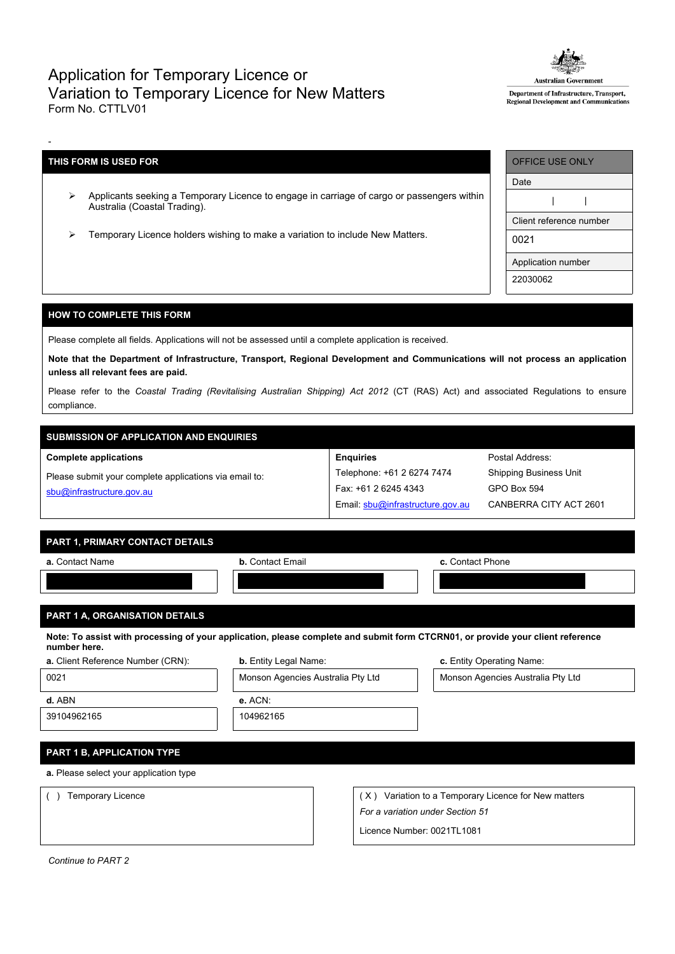## Application for Temporary Licence or Variation to Temporary Licence for New Matters Form No. CTTLV01



Department of Infrastructure, Transport, Regional Development and Communicati

## **THIS FORM IS USED FOR**

-

- Applicants seeking a Temporary Licence to engage in carriage of cargo or passengers within Australia (Coastal Trading).
- Temporary Licence holders wishing to make a variation to include New Matters.

| <b>OFFICE USE ONLY</b>  |
|-------------------------|
| Date                    |
|                         |
| Client reference number |
| 0021                    |
| Application number      |
| 22030062                |

## **HOW TO COMPLETE THIS FORM**

Please complete all fields. Applications will not be assessed until a complete application is received.

Note that the Department of Infrastructure, Transport, Regional Development and Communications will not process an application **unless all relevant fees are paid.**

Please refer to the *Coastal Trading (Revitalising Australian Shipping) Act 2012* (CT (RAS) Act) and associated Regulations to ensure compliance.

**Enquiries**

Telephone: +61 2 6274 7474 Fax: +61 2 6245 4343

Email: [sbu@infrastructure.gov.au](mailto:sbu@infrastructure.gov.au)

# **SUBMISSION OF APPLICATION AND ENQUIRIES**

#### **Complete applications**

Please submit your complete applications via email to: [sbu@infrastructure.gov.au](mailto:sbu@infrastructure.gov.au)

| PART 1. PRIMARY CONTACT DETAILS |  |
|---------------------------------|--|
|                                 |  |

| a. Contact Name | <b>b.</b> Contact Email | c. Contact Phone |
|-----------------|-------------------------|------------------|
|                 |                         |                  |

## **PART 1 A, ORGANISATION DETAILS**

Note: To assist with processing of your application, please complete and submit form CTCRN01, or provide your client reference **number here.**

| <b>a.</b> Client Reference Number (CRN) |  |  |
|-----------------------------------------|--|--|
|-----------------------------------------|--|--|

**PART 1 B, APPLICATION TYPE**

**a.** Please select your application type

| <b>b.</b> Entity Legal Name: | c. Entity Operating Name: |
|------------------------------|---------------------------|
|                              |                           |

0021 Monson Agencies Australia Pty Ltd Monson Agencies Australia Pty Ltd **d.** ABN **e.** ACN:

Postal Address: Shipping Business Unit

GPO Box 594

CANBERRA CITY ACT 2601

39104962165 104962165

() Temporary Licence ( X) Variation to a Temporary Licence for New matters *For a variation under Section 51*

Licence Number: 0021TL1081

*Continue to PART 2*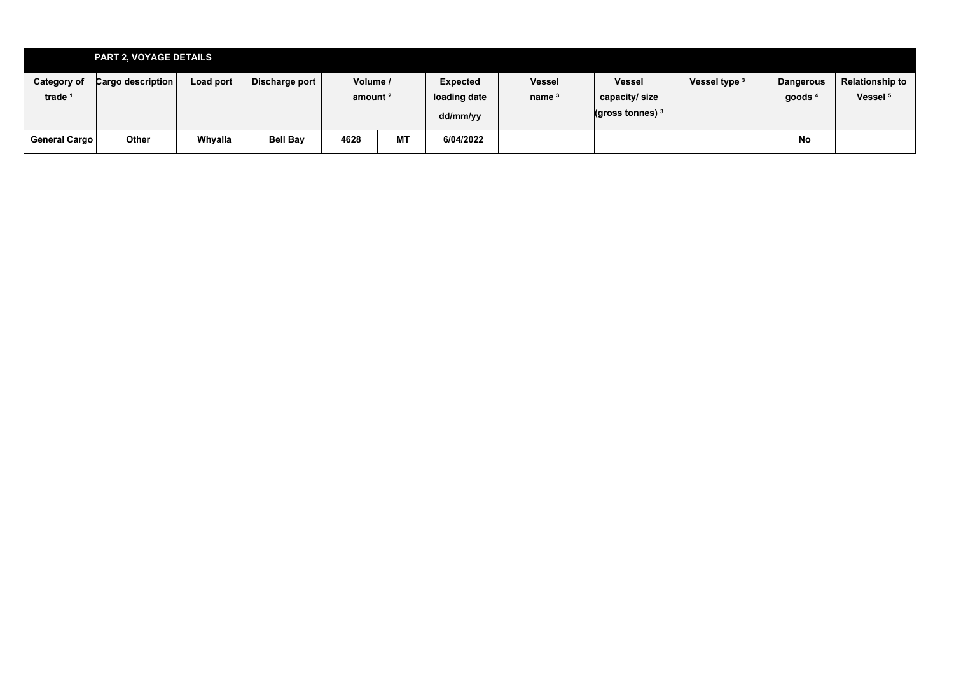|                                          | <b>PART 2, VOYAGE DETAILS</b> |           |                 |                                 |           |                                      |                           |                                                         |               |                               |                                        |
|------------------------------------------|-------------------------------|-----------|-----------------|---------------------------------|-----------|--------------------------------------|---------------------------|---------------------------------------------------------|---------------|-------------------------------|----------------------------------------|
| <b>Category of</b><br>trade <sup>1</sup> | <b>Cargo description</b>      | Load port | Discharge port  | Volume /<br>amount <sup>2</sup> |           | Expected<br>loading date<br>dd/mm/yy | <b>Vessel</b><br>name $3$ | <b>Vessel</b><br>capacity/size<br>$($ gross tonnes) $3$ | Vessel type 3 | <b>Dangerous</b><br>goods $4$ | Relationship to<br>Vessel <sup>5</sup> |
| General Cargo                            | Other                         | Whyalla   | <b>Bell Bay</b> | 4628                            | <b>MT</b> | 6/04/2022                            |                           |                                                         |               | No                            |                                        |